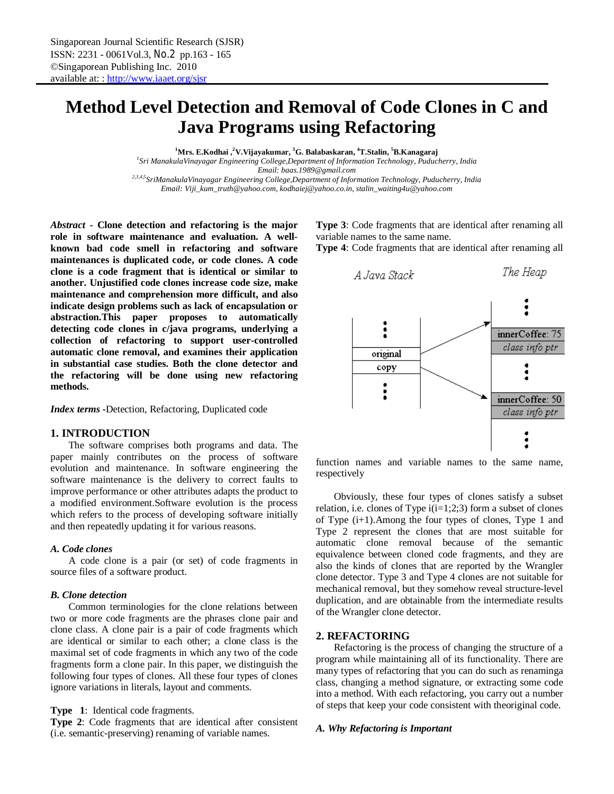# **Method Level Detection and Removal of Code Clones in C and Java Programs using Refactoring**

**<sup>1</sup>Mrs. E.Kodhai ,<sup>2</sup>V.Vijayakumar, <sup>3</sup>G. Balabaskaran, <sup>4</sup>T.Stalin, <sup>5</sup>B.Kanagaraj** *1 Sri ManakulaVinayagar Engineering College,Department of Information Technology, Puducherry, India*

*Email: baas.1989@gmail.com*

*2,3,4,5SriManakulaVinayagar Engineering College,Department of Information Technology, Puducherry, India Email: Viji\_kum\_truth@yahoo.com, kodhaiej@yahoo.co.in, stalin\_waiting4u@yahoo.com*

*Abstract* **- Clone detection and refactoring is the major role in software maintenance and evaluation. A wellknown bad code smell in refactoring and software maintenances is duplicated code, or code clones. A code clone is a code fragment that is identical or similar to another. Unjustified code clones increase code size, make maintenance and comprehension more difficult, and also indicate design problems such as lack of encapsulation or abstraction.This paper proposes to automatically detecting code clones in c/java programs, underlying a collection of refactoring to support user-controlled automatic clone removal, and examines their application in substantial case studies. Both the clone detector and the refactoring will be done using new refactoring methods.**

*Index terms* **-**Detection, Refactoring, Duplicated code

# **1. INTRODUCTION**

The software comprises both programs and data. The paper mainly contributes on the process of software evolution and maintenance. In software engineering the software maintenance is the delivery to correct faults to improve performance or other attributes adapts the product to a modified environment.Software evolution is the process which refers to the process of developing software initially and then repeatedly updating it for various reasons.

## *A. Code clones*

A code clone is a pair (or set) of code fragments in source files of a software product.

# *B. Clone detection*

Common terminologies for the clone relations between two or more code fragments are the phrases clone pair and clone class. A clone pair is a pair of code fragments which are identical or similar to each other; a clone class is the maximal set of code fragments in which any two of the code fragments form a clone pair. In this paper, we distinguish the following four types of clones. All these four types of clones ignore variations in literals, layout and comments.

**Type 1**: Identical code fragments.

**Type 2**: Code fragments that are identical after consistent (i.e. semantic-preserving) renaming of variable names.

**Type 3**: Code fragments that are identical after renaming all variable names to the same name.

**Type 4**: Code fragments that are identical after renaming all



function names and variable names to the same name, respectively

Obviously, these four types of clones satisfy a subset relation, i.e. clones of Type  $i(i=1;2;3)$  form a subset of clones of Type (i+1).Among the four types of clones, Type 1 and Type 2 represent the clones that are most suitable for automatic clone removal because of the semantic equivalence between cloned code fragments, and they are also the kinds of clones that are reported by the Wrangler clone detector. Type 3 and Type 4 clones are not suitable for mechanical removal, but they somehow reveal structure-level duplication, and are obtainable from the intermediate results of the Wrangler clone detector.

# **2. REFACTORING**

Refactoring is the process of changing the structure of a program while maintaining all of its functionality. There are many types of refactoring that you can do such as renaminga class, changing a method signature, or extracting some code into a method. With each refactoring, you carry out a number of steps that keep your code consistent with theoriginal code.

## *A. Why Refactoring is Important*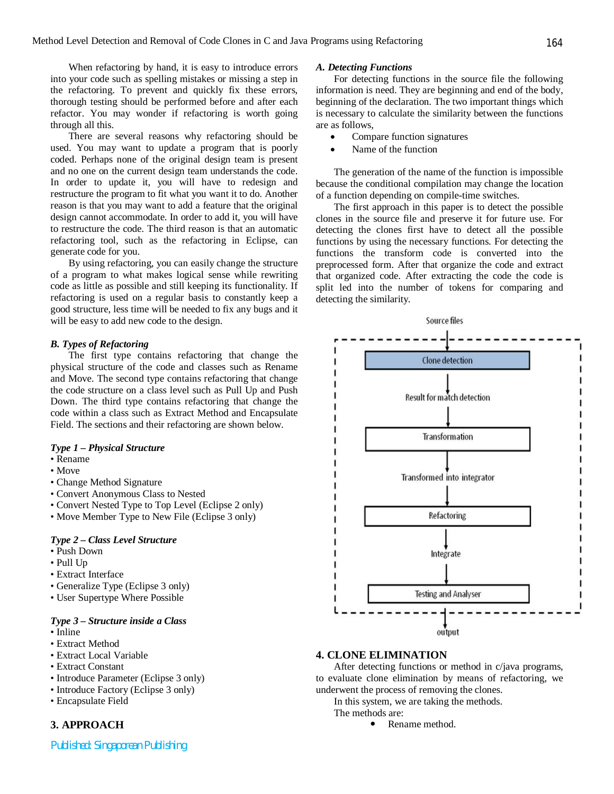When refactoring by hand, it is easy to introduce errors into your code such as spelling mistakes or missing a step in the refactoring. To prevent and quickly fix these errors, thorough testing should be performed before and after each refactor. You may wonder if refactoring is worth going through all this.

There are several reasons why refactoring should be used. You may want to update a program that is poorly coded. Perhaps none of the original design team is present and no one on the current design team understands the code. In order to update it, you will have to redesign and restructure the program to fit what you want it to do. Another reason is that you may want to add a feature that the original design cannot accommodate. In order to add it, you will have to restructure the code. The third reason is that an automatic refactoring tool, such as the refactoring in Eclipse, can generate code for you.

By using refactoring, you can easily change the structure of a program to what makes logical sense while rewriting code as little as possible and still keeping its functionality. If refactoring is used on a regular basis to constantly keep a good structure, less time will be needed to fix any bugs and it will be easy to add new code to the design.

#### *B. Types of Refactoring*

The first type contains refactoring that change the physical structure of the code and classes such as Rename and Move. The second type contains refactoring that change the code structure on a class level such as Pull Up and Push Down. The third type contains refactoring that change the code within a class such as Extract Method and Encapsulate Field. The sections and their refactoring are shown below.

#### *Type 1 – Physical Structure*

- Rename
- Move
- Change Method Signature
- Convert Anonymous Class to Nested
- Convert Nested Type to Top Level (Eclipse 2 only)
- Move Member Type to New File (Eclipse 3 only)

## *Type 2 – Class Level Structure*

- Push Down
- Pull Up
- Extract Interface
- Generalize Type (Eclipse 3 only)
- User Supertype Where Possible

#### *Type 3 – Structure inside a Class*

- Inline
- Extract Method
- Extract Local Variable
- Extract Constant
- Introduce Parameter (Eclipse 3 only)
- Introduce Factory (Eclipse 3 only)
- Encapsulate Field

# **3. APPROACH**

*Published: Singaporean Publishing*

#### *A. Detecting Functions*

For detecting functions in the source file the following information is need. They are beginning and end of the body, beginning of the declaration. The two important things which is necessary to calculate the similarity between the functions are as follows,

- Compare function signatures
- Name of the function

The generation of the name of the function is impossible because the conditional compilation may change the location of a function depending on compile-time switches.

The first approach in this paper is to detect the possible clones in the source file and preserve it for future use. For detecting the clones first have to detect all the possible functions by using the necessary functions. For detecting the functions the transform code is converted into the preprocessed form. After that organize the code and extract that organized code. After extracting the code the code is split led into the number of tokens for comparing and detecting the similarity.



# **4. CLONE ELIMINATION**

After detecting functions or method in c/java programs, to evaluate clone elimination by means of refactoring, we underwent the process of removing the clones.

In this system, we are taking the methods.

- The methods are:
	- Rename method.